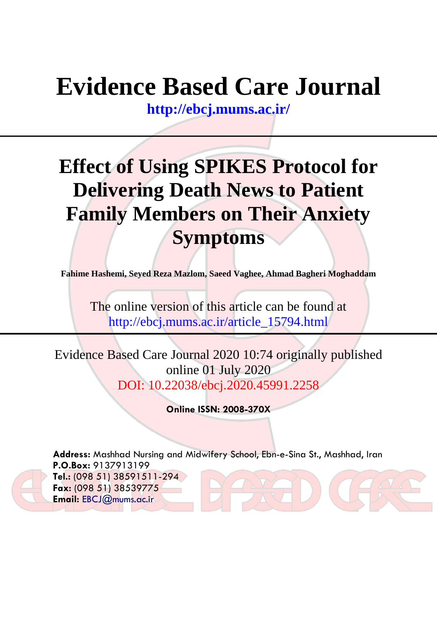# **Evidence Based Care Journal**

**<http://ebcj.mums.ac.ir/>**

## **Effect of Using SPIKES Protocol for Delivering Death News to Patient Family Members on Their Anxiety Symptoms**

**Fahime Hashemi, Seyed Reza Mazlom, Saeed Vaghee, Ahmad Bagheri Moghaddam**

The online version of this article can be found at http://ebcj.mums.ac.ir/article\_15794.html

Evidence Based Care Journal 2020 10:74 originally published online 01 July 2020 DOI: 10.22038/ebcj.2020.45991.2258

**Online ISSN: 2008-370X**

**Address:** Mashhad Nursing and Midwifery School, Ebn-e-Sina St., Mashhad, Iran **P.O.Box:** 9137913199 **Tel.:** (098 51) 38591511-294 **Fax:** (098 51) 38539775 **Email:** [EBCJ@mums.ac.ir](mailto:EBCJ@mums.ac.ir)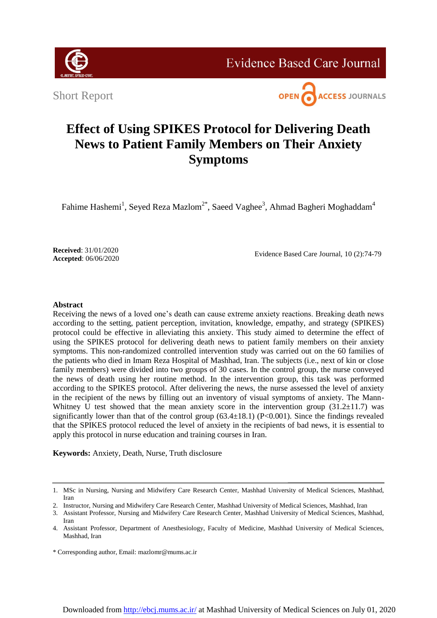

**Evidence Based Care Journal** 

Short Report



### **Effect of Using SPIKES Protocol for Delivering Death News to Patient Family Members on Their Anxiety Symptoms**

Fahime Hashemi<sup>1</sup>, Seyed Reza Mazlom<sup>2\*</sup>, Saeed Vaghee<sup>3</sup>, Ahmad Bagheri Moghaddam<sup>4</sup>

**Received**: 31/01/2020 **Accepted**: 06/06/2020

Evidence Based Care Journal, 10 (2):74-79

#### **Abstract**

Receiving the news of a loved one's death can cause extreme anxiety reactions. Breaking death news according to the setting, patient perception, invitation, knowledge, empathy, and strategy (SPIKES) protocol could be effective in alleviating this anxiety. This study aimed to determine the effect of using the SPIKES protocol for delivering death news to patient family members on their anxiety symptoms. This non-randomized controlled intervention study was carried out on the 60 families of the patients who died in Imam Reza Hospital of Mashhad, Iran. The subjects (i.e., next of kin or close family members) were divided into two groups of 30 cases. In the control group, the nurse conveyed the news of death using her routine method. In the intervention group, this task was performed according to the SPIKES protocol. After delivering the news, the nurse assessed the level of anxiety in the recipient of the news by filling out an inventory of visual symptoms of anxiety. The Mann-Whitney U test showed that the mean anxiety score in the intervention group  $(31.2\pm11.7)$  was significantly lower than that of the control group  $(63.4\pm18.1)$  (P<0.001). Since the findings revealed that the SPIKES protocol reduced the level of anxiety in the recipients of bad news, it is essential to apply this protocol in nurse education and training courses in Iran.

**Keywords:** Anxiety, Death, Nurse, Truth disclosure

<sup>1.</sup> MSc in Nursing, Nursing and Midwifery Care Research Center, Mashhad University of Medical Sciences, Mashhad, Iran

<sup>2.</sup> Instructor, Nursing and Midwifery Care Research Center, Mashhad University of Medical Sciences, Mashhad, Iran

<sup>3.</sup> Assistant Professor, Nursing and Midwifery Care Research Center, Mashhad University of Medical Sciences, Mashhad, Iran

<sup>4.</sup> Assistant Professor, Department of Anesthesiology, Faculty of Medicine, Mashhad University of Medical Sciences, Mashhad, Iran

<sup>\*</sup> Corresponding author, Email: mazlomr@mums.ac.ir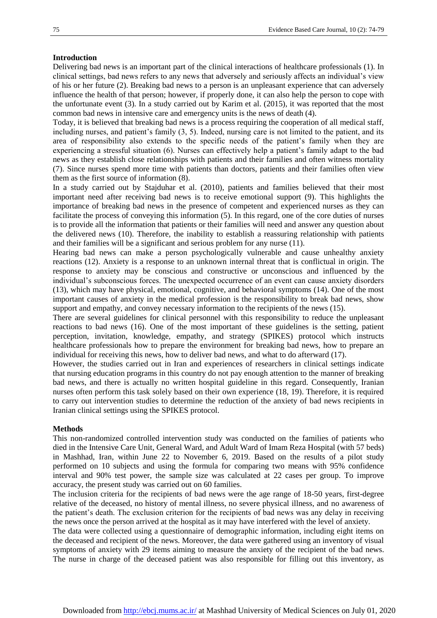#### **Introduction**

Delivering bad news is an important part of the clinical interactions of healthcare professionals (1). In clinical settings, bad news refers to any news that adversely and seriously affects an individual's view of his or her future (2). Breaking bad news to a person is an unpleasant experience that can adversely influence the health of that person; however, if properly done, it can also help the person to cope with the unfortunate event (3). In a study carried out by Karim et al. (2015), it was reported that the most common bad news in intensive care and emergency units is the news of death (4).

Today, it is believed that breaking bad news is a process requiring the cooperation of all medical staff, including nurses, and patient's family (3, 5). Indeed, nursing care is not limited to the patient, and its area of responsibility also extends to the specific needs of the patient's family when they are experiencing a stressful situation (6). Nurses can effectively help a patient's family adapt to the bad news as they establish close relationships with patients and their families and often witness mortality (7). Since nurses spend more time with patients than doctors, patients and their families often view them as the first source of information (8).

In a study carried out by Stajduhar et al. (2010), patients and families believed that their most important need after receiving bad news is to receive emotional support (9). This highlights the importance of breaking bad news in the presence of competent and experienced nurses as they can facilitate the process of conveying this information (5). In this regard, one of the core duties of nurses is to provide all the information that patients or their families will need and answer any question about the delivered news (10). Therefore, the inability to establish a reassuring relationship with patients and their families will be a significant and serious problem for any nurse (11).

Hearing bad news can make a person psychologically vulnerable and cause unhealthy anxiety reactions (12). Anxiety is a response to an unknown internal threat that is conflictual in origin. The response to anxiety may be conscious and constructive or unconscious and influenced by the individual's subconscious forces. The unexpected occurrence of an event can cause anxiety disorders (13), which may have physical, emotional, cognitive, and behavioral symptoms (14). One of the most important causes of anxiety in the medical profession is the responsibility to break bad news, show support and empathy, and convey necessary information to the recipients of the news (15).

There are several guidelines for clinical personnel with this responsibility to reduce the unpleasant reactions to bad news (16). One of the most important of these guidelines is the setting, patient perception, invitation, knowledge, empathy, and strategy (SPIKES) protocol which instructs healthcare professionals how to prepare the environment for breaking bad news, how to prepare an individual for receiving this news, how to deliver bad news, and what to do afterward (17).

However, the studies carried out in Iran and experiences of researchers in clinical settings indicate that nursing education programs in this country do not pay enough attention to the manner of breaking bad news, and there is actually no written hospital guideline in this regard. Consequently, Iranian nurses often perform this task solely based on their own experience (18, 19). Therefore, it is required to carry out intervention studies to determine the reduction of the anxiety of bad news recipients in Iranian clinical settings using the SPIKES protocol.

#### **Methods**

This non-randomized controlled intervention study was conducted on the families of patients who died in the Intensive Care Unit, General Ward, and Adult Ward of Imam Reza Hospital (with 57 beds) in Mashhad, Iran, within June 22 to November 6, 2019. Based on the results of a pilot study performed on 10 subjects and using the formula for comparing two means with 95% confidence interval and 90% test power, the sample size was calculated at 22 cases per group. To improve accuracy, the present study was carried out on 60 families.

The inclusion criteria for the recipients of bad news were the age range of 18-50 years, first-degree relative of the deceased, no history of mental illness, no severe physical illness, and no awareness of the patient's death. The exclusion criterion for the recipients of bad news was any delay in receiving the news once the person arrived at the hospital as it may have interfered with the level of anxiety.

The data were collected using a questionnaire of demographic information, including eight items on the deceased and recipient of the news. Moreover, the data were gathered using an inventory of visual symptoms of anxiety with 29 items aiming to measure the anxiety of the recipient of the bad news. The nurse in charge of the deceased patient was also responsible for filling out this inventory, as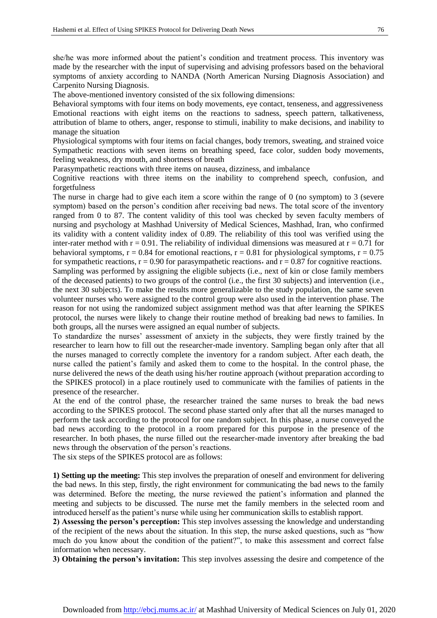she/he was more informed about the patient's condition and treatment process. This inventory was made by the researcher with the input of supervising and advising professors based on the behavioral symptoms of anxiety according to NANDA (North American Nursing Diagnosis Association) and Carpenito Nursing Diagnosis.

The above-mentioned inventory consisted of the six following dimensions:

Behavioral symptoms with four items on body movements, eye contact, tenseness, and aggressiveness Emotional reactions with eight items on the reactions to sadness, speech pattern, talkativeness, attribution of blame to others, anger, response to stimuli, inability to make decisions, and inability to manage the situation

Physiological symptoms with four items on facial changes, body tremors, sweating, and strained voice Sympathetic reactions with seven items on breathing speed, face color, sudden body movements, feeling weakness, dry mouth, and shortness of breath

Parasympathetic reactions with three items on nausea, dizziness, and imbalance

Cognitive reactions with three items on the inability to comprehend speech, confusion, and forgetfulness

The nurse in charge had to give each item a score within the range of 0 (no symptom) to 3 (severe symptom) based on the person's condition after receiving bad news. The total score of the inventory ranged from 0 to 87. The content validity of this tool was checked by seven faculty members of nursing and psychology at Mashhad University of Medical Sciences, Mashhad, Iran, who confirmed its validity with a content validity index of 0.89. The reliability of this tool was verified using the inter-rater method with  $r = 0.91$ . The reliability of individual dimensions was measured at  $r = 0.71$  for behavioral symptoms,  $r = 0.84$  for emotional reactions,  $r = 0.81$  for physiological symptoms,  $r = 0.75$ for sympathetic reactions,  $r = 0.90$  for parasympathetic reactions, and  $r = 0.87$  for cognitive reactions.

Sampling was performed by assigning the eligible subjects (i.e., next of kin or close family members of the deceased patients) to two groups of the control (i.e., the first 30 subjects) and intervention (i.e., the next 30 subjects). To make the results more generalizable to the study population, the same seven volunteer nurses who were assigned to the control group were also used in the intervention phase. The reason for not using the randomized subject assignment method was that after learning the SPIKES protocol, the nurses were likely to change their routine method of breaking bad news to families. In both groups, all the nurses were assigned an equal number of subjects.

To standardize the nurses' assessment of anxiety in the subjects, they were firstly trained by the researcher to learn how to fill out the researcher-made inventory. Sampling began only after that all the nurses managed to correctly complete the inventory for a random subject. After each death, the nurse called the patient's family and asked them to come to the hospital. In the control phase, the nurse delivered the news of the death using his/her routine approach (without preparation according to the SPIKES protocol) in a place routinely used to communicate with the families of patients in the presence of the researcher.

At the end of the control phase, the researcher trained the same nurses to break the bad news according to the SPIKES protocol. The second phase started only after that all the nurses managed to perform the task according to the protocol for one random subject. In this phase, a nurse conveyed the bad news according to the protocol in a room prepared for this purpose in the presence of the researcher. In both phases, the nurse filled out the researcher-made inventory after breaking the bad news through the observation of the person's reactions.

The six steps of the SPIKES protocol are as follows:

**1) Setting up the meeting:** This step involves the preparation of oneself and environment for delivering the bad news. In this step, firstly, the right environment for communicating the bad news to the family was determined. Before the meeting, the nurse reviewed the patient's information and planned the meeting and subjects to be discussed. The nurse met the family members in the selected room and introduced herself as the patient's nurse while using her communication skills to establish rapport.

**2) Assessing the person's perception:** This step involves assessing the knowledge and understanding of the recipient of the news about the situation. In this step, the nurse asked questions, such as "how much do you know about the condition of the patient?", to make this assessment and correct false information when necessary.

**3) Obtaining the person's invitation:** This step involves assessing the desire and competence of the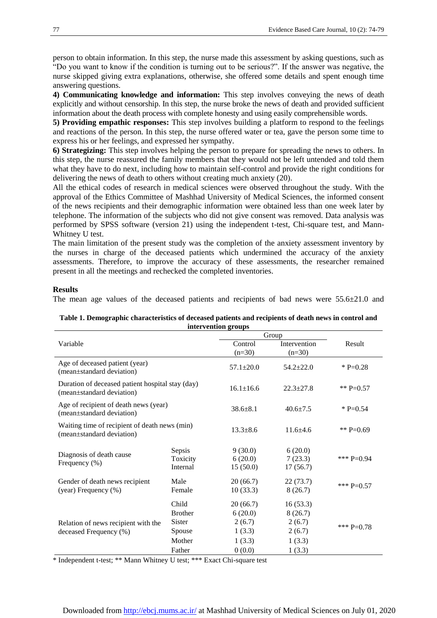person to obtain information. In this step, the nurse made this assessment by asking questions, such as "Do you want to know if the condition is turning out to be serious?". If the answer was negative, the nurse skipped giving extra explanations, otherwise, she offered some details and spent enough time answering questions.

**4) Communicating knowledge and information:** This step involves conveying the news of death explicitly and without censorship. In this step, the nurse broke the news of death and provided sufficient information about the death process with complete honesty and using easily comprehensible words.

**5) Providing empathic responses:** This step involves building a platform to respond to the feelings and reactions of the person. In this step, the nurse offered water or tea, gave the person some time to express his or her feelings, and expressed her sympathy.

**6) Strategizing:** This step involves helping the person to prepare for spreading the news to others. In this step, the nurse reassured the family members that they would not be left untended and told them what they have to do next, including how to maintain self-control and provide the right conditions for delivering the news of death to others without creating much anxiety (20).

All the ethical codes of research in medical sciences were observed throughout the study. With the approval of the Ethics Committee of Mashhad University of Medical Sciences, the informed consent of the news recipients and their demographic information were obtained less than one week later by telephone. The information of the subjects who did not give consent was removed. Data analysis was performed by SPSS software (version 21) using the independent t-test, Chi-square test, and Mann-Whitney U test.

The main limitation of the present study was the completion of the anxiety assessment inventory by the nurses in charge of the deceased patients which undermined the accuracy of the anxiety assessments. Therefore, to improve the accuracy of these assessments, the researcher remained present in all the meetings and rechecked the completed inventories.

#### **Results**

The mean age values of the deceased patients and recipients of bad news were 55.6±21.0 and

|                                                                               |                | mier ventron groups<br>Group |                 |              |
|-------------------------------------------------------------------------------|----------------|------------------------------|-----------------|--------------|
| Variable                                                                      | Control        | Intervention                 | Result          |              |
|                                                                               |                | $(n=30)$                     | $(n=30)$        |              |
| Age of deceased patient (year)<br>(mean±standard deviation)                   |                | $57.1 \pm 20.0$              | $54.2 \pm 22.0$ | $*P=0.28$    |
| Duration of deceased patient hospital stay (day)<br>(mean±standard deviation) |                | $16.1 \pm 16.6$              | $22.3 \pm 27.8$ | ** P=0.57    |
| Age of recipient of death news (year)<br>(mean±standard deviation)            |                | $38.6 + 8.1$                 | $40.6 \pm 7.5$  | * P=0.54     |
| Waiting time of recipient of death news (min)<br>(mean±standard deviation)    |                | $13.3 + 8.6$                 | $11.6 + 4.6$    | ** P=0.69    |
| Diagnosis of death cause<br>Frequency $(\%)$                                  | Sepsis         | 9(30.0)                      | 6(20.0)         | *** $P=0.94$ |
|                                                                               | Toxicity       | 6(20.0)                      | 7(23.3)         |              |
|                                                                               | Internal       | 15(50.0)                     | 17(56.7)        |              |
| Gender of death news recipient<br>(year) Frequency (%)                        | Male           | 20(66.7)                     | 22(73.7)        | *** $P=0.57$ |
|                                                                               | Female         | 10(33.3)                     | 8(26.7)         |              |
| Relation of news recipient with the<br>deceased Frequency (%)                 | Child          | 20(66.7)                     | 16(53.3)        |              |
|                                                                               | <b>Brother</b> | 6(20.0)                      | 8(26.7)         | *** $P=0.78$ |
|                                                                               | Sister         | 2(6.7)                       | 2(6.7)          |              |
|                                                                               | Spouse         | 1(3.3)                       | 2(6.7)          |              |
|                                                                               | Mother         | 1(3.3)                       | 1(3.3)          |              |
|                                                                               | Father         | 0(0.0)                       | 1(3.3)          |              |

**Table 1. Demographic characteristics of deceased patients and recipients of death news in control and intervention** 

\* Independent t-test; \*\* Mann Whitney U test; \*\*\* Exact Chi-square test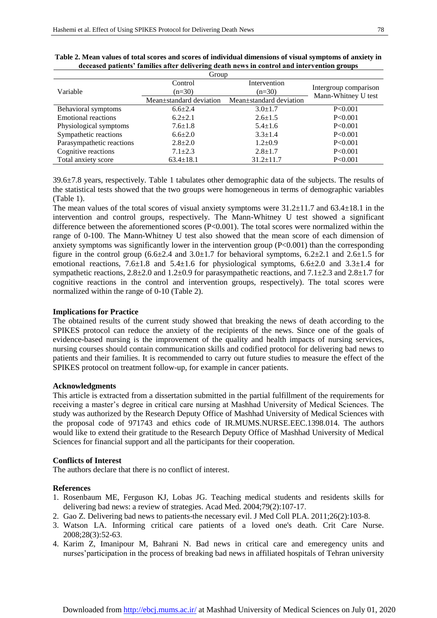| Group                     |                                                 |                         |                                              |  |  |
|---------------------------|-------------------------------------------------|-------------------------|----------------------------------------------|--|--|
| Variable                  | Intervention<br>Control<br>$(n=30)$<br>$(n=30)$ |                         | Intergroup comparison<br>Mann-Whitney U test |  |  |
|                           |                                                 |                         |                                              |  |  |
|                           | Mean±standard deviation                         | Mean±standard deviation |                                              |  |  |
| Behavioral symptoms       | $6.6 \pm 2.4$                                   | $3.0 \pm 1.7$           | P<0.001                                      |  |  |
| Emotional reactions       | $6.2 + 2.1$                                     | $2.6 \pm 1.5$           | P<0.001                                      |  |  |
| Physiological symptoms    | $7.6 \pm 1.8$                                   | $5.4 \pm 1.6$           | P<0.001                                      |  |  |
| Sympathetic reactions     | $6.6{\pm}2.0$                                   | $3.3 + 1.4$             | P<0.001                                      |  |  |
| Parasympathetic reactions | $2.8 \pm 2.0$                                   | $1.2 \pm 0.9$           | P<0.001                                      |  |  |
| Cognitive reactions       | $7.1 \pm 2.3$                                   | $2.8 \pm 1.7$           | P<0.001                                      |  |  |
| Total anxiety score       | $63.4 \pm 18.1$                                 | $31.2 \pm 11.7$         | P<0.001                                      |  |  |

| Table 2. Mean values of total scores and scores of individual dimensions of visual symptoms of anxiety in |  |
|-----------------------------------------------------------------------------------------------------------|--|
| deceased patients' families after delivering death news in control and intervention groups                |  |

39.6±7.8 years, respectively. Table 1 tabulates other demographic data of the subjects. The results of the statistical tests showed that the two groups were homogeneous in terms of demographic variables (Table 1).

The mean values of the total scores of visual anxiety symptoms were 31.2±11.7 and 63.4±18.1 in the intervention and control groups, respectively. The Mann-Whitney U test showed a significant difference between the aforementioned scores (P<0.001). The total scores were normalized within the range of 0-100. The Mann-Whitney U test also showed that the mean score of each dimension of anxiety symptoms was significantly lower in the intervention group (P<0.001) than the corresponding figure in the control group  $(6.6\pm 2.4$  and  $3.0\pm 1.7$  for behavioral symptoms,  $6.2\pm 2.1$  and  $2.6\pm 1.5$  for emotional reactions,  $7.6\pm1.8$  and  $5.4\pm1.6$  for physiological symptoms,  $6.6\pm2.0$  and  $3.3\pm1.4$  for sympathetic reactions, 2.8±2.0 and 1.2±0.9 for parasympathetic reactions, and 7.1±2.3 and 2.8±1.7 for cognitive reactions in the control and intervention groups, respectively). The total scores were normalized within the range of 0-10 (Table 2).

#### **Implications for Practice**

The obtained results of the current study showed that breaking the news of death according to the SPIKES protocol can reduce the anxiety of the recipients of the news. Since one of the goals of evidence-based nursing is the improvement of the quality and health impacts of nursing services, nursing courses should contain communication skills and codified protocol for delivering bad news to patients and their families. It is recommended to carry out future studies to measure the effect of the SPIKES protocol on treatment follow-up, for example in cancer patients.

#### **Acknowledgments**

This article is extracted from a dissertation submitted in the partial fulfillment of the requirements for receiving a master's degree in critical care nursing at Mashhad University of Medical Sciences. The study was authorized by the Research Deputy Office of Mashhad University of Medical Sciences with the proposal code of 971743 and ethics code of IR.MUMS.NURSE.EEC.1398.014. The authors would like to extend their gratitude to the Research Deputy Office of Mashhad University of Medical Sciences for financial support and all the participants for their cooperation.

#### **Conflicts of Interest**

The authors declare that there is no conflict of interest.

#### **References**

- 1. Rosenbaum ME, Ferguson KJ, Lobas JG. Teaching medical students and residents skills for delivering bad news: a review of strategies. Acad Med. 2004;79(2):107-17.
- 2. Gao Z. Delivering bad news to patients-the necessary evil. J Med Coll PLA. 2011;26(2):103-8.
- 3. Watson LA. Informing critical care patients of a loved one's death. Crit Care Nurse. 2008;28(3):52-63.
- 4. Karim Z, Imanipour M, Bahrani N. Bad news in critical care and emeregency units and nurses'participation in the process of breaking bad news in affiliated hospitals of Tehran university